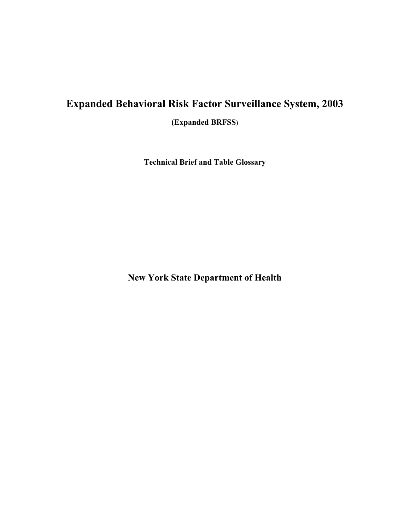# **Expanded Behavioral Risk Factor Surveillance System, 2003**

**(Expanded BRFSS**)

**Technical Brief and Table Glossary** 

**New York State Department of Health**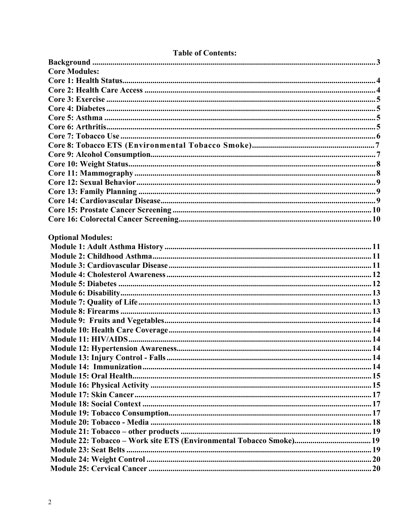| <b>Core Modules:</b>     |  |
|--------------------------|--|
|                          |  |
|                          |  |
|                          |  |
|                          |  |
|                          |  |
|                          |  |
|                          |  |
|                          |  |
|                          |  |
|                          |  |
|                          |  |
|                          |  |
|                          |  |
|                          |  |
|                          |  |
|                          |  |
|                          |  |
| <b>Optional Modules:</b> |  |
|                          |  |
|                          |  |
|                          |  |
|                          |  |
|                          |  |
|                          |  |
|                          |  |
|                          |  |
|                          |  |
|                          |  |
|                          |  |
|                          |  |
|                          |  |
|                          |  |
|                          |  |
|                          |  |
|                          |  |
|                          |  |
|                          |  |
|                          |  |
|                          |  |
|                          |  |
|                          |  |
|                          |  |
|                          |  |

# **Table of Contents:**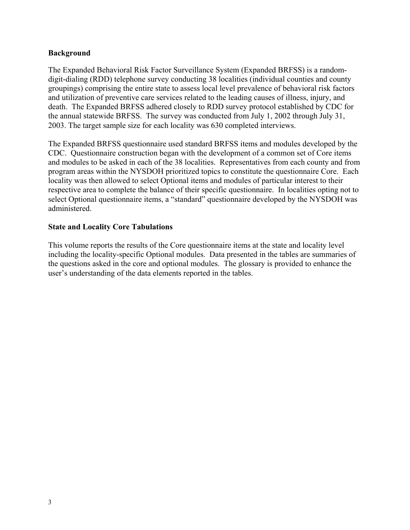#### <span id="page-2-0"></span>**Background**

The Expanded Behavioral Risk Factor Surveillance System (Expanded BRFSS) is a randomdigit-dialing (RDD) telephone survey conducting 38 localities (individual counties and county groupings) comprising the entire state to assess local level prevalence of behavioral risk factors and utilization of preventive care services related to the leading causes of illness, injury, and death. The Expanded BRFSS adhered closely to RDD survey protocol established by CDC for the annual statewide BRFSS. The survey was conducted from July 1, 2002 through July 31, 2003. The target sample size for each locality was 630 completed interviews.

The Expanded BRFSS questionnaire used standard BRFSS items and modules developed by the CDC. Questionnaire construction began with the development of a common set of Core items and modules to be asked in each of the 38 localities. Representatives from each county and from program areas within the NYSDOH prioritized topics to constitute the questionnaire Core. Each locality was then allowed to select Optional items and modules of particular interest to their respective area to complete the balance of their specific questionnaire. In localities opting not to select Optional questionnaire items, a "standard" questionnaire developed by the NYSDOH was administered.

### **State and Locality Core Tabulations**

This volume reports the results of the Core questionnaire items at the state and locality level including the locality-specific Optional modules. Data presented in the tables are summaries of the questions asked in the core and optional modules. The glossary is provided to enhance the user's understanding of the data elements reported in the tables.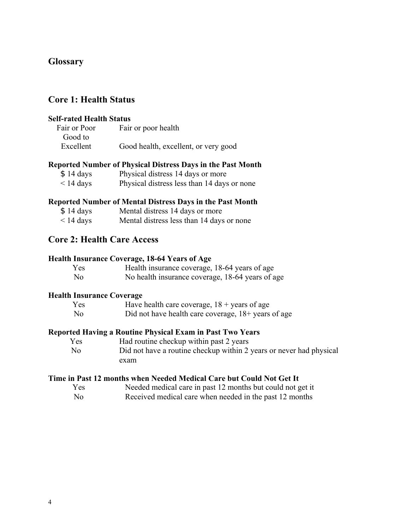# <span id="page-3-0"></span>**Glossary**

# **Core 1: Health Status**

#### **Self-rated Health Status**

| Fair or Poor | Fair or poor health                  |
|--------------|--------------------------------------|
| Good to      |                                      |
| Excellent    | Good health, excellent, or very good |

#### **Reported Number of Physical Distress Days in the Past Month**

| \$14 days      | Physical distress 14 days or more           |
|----------------|---------------------------------------------|
| $\leq$ 14 days | Physical distress less than 14 days or none |

#### **Reported Number of Mental Distress Days in the Past Month**

| \$14 days | Mental distress 14 days or more |  |
|-----------|---------------------------------|--|
|-----------|---------------------------------|--|

< 14 days Mental distress less than 14 days or none

# **Core 2: Health Care Access**

#### **Health Insurance Coverage, 18-64 Years of Age**

| Yes            | Health insurance coverage, 18-64 years of age    |
|----------------|--------------------------------------------------|
| N <sub>0</sub> | No health insurance coverage, 18-64 years of age |

#### **Health Insurance Coverage**

| Yes            | Have health care coverage, $18 + \text{years}$ of age          |
|----------------|----------------------------------------------------------------|
| N <sub>o</sub> | Did not have health care coverage, $18 + \text{ years of age}$ |

### **Reported Having a Routine Physical Exam in Past Two Years**

Yes Had routine checkup within past 2 years No Did not have a routine checkup within 2 years or never had physical exam

#### **Time in Past 12 months when Needed Medical Care but Could Not Get It**

| Yes          | Needed medical care in past 12 months but could not get it                                                                                                                                                                                                                                                                          |
|--------------|-------------------------------------------------------------------------------------------------------------------------------------------------------------------------------------------------------------------------------------------------------------------------------------------------------------------------------------|
| $\mathbf{M}$ | $\mathbf{n}$ $\mathbf{1}$ $\mathbf{1}$ $\mathbf{1}$ $\mathbf{1}$ $\mathbf{1}$ $\mathbf{1}$ $\mathbf{1}$ $\mathbf{1}$ $\mathbf{1}$ $\mathbf{1}$ $\mathbf{1}$ $\mathbf{1}$ $\mathbf{1}$ $\mathbf{1}$ $\mathbf{1}$ $\mathbf{1}$ $\mathbf{1}$ $\mathbf{1}$ $\mathbf{1}$ $\mathbf{1}$ $\mathbf{1}$ $\mathbf{1}$ $\mathbf{1}$ $\mathbf{1$ |

No Received medical care when needed in the past 12 months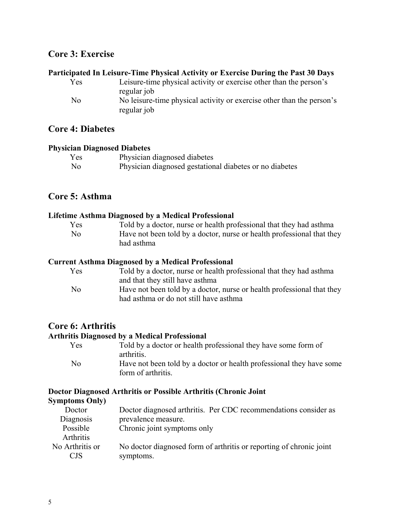# <span id="page-4-0"></span>**Core 3: Exercise**

# **Participated In Leisure-Time Physical Activity or Exercise During the Past 30 Days**

| Yes            | Leisure-time physical activity or exercise other than the person's    |
|----------------|-----------------------------------------------------------------------|
|                | regular job                                                           |
| N <sub>0</sub> | No leisure-time physical activity or exercise other than the person's |
|                | regular job                                                           |

### **Core 4: Diabetes**

#### **Physician Diagnosed Diabetes**

| Yes            | Physician diagnosed diabetes                            |
|----------------|---------------------------------------------------------|
| N <sub>0</sub> | Physician diagnosed gestational diabetes or no diabetes |

# **Core 5: Asthma**

#### **Lifetime Asthma Diagnosed by a Medical Professional**

| Yes            | Told by a doctor, nurse or health professional that they had asthma    |
|----------------|------------------------------------------------------------------------|
| N <sub>0</sub> | Have not been told by a doctor, nurse or health professional that they |
|                | had asthma                                                             |

#### **Current Asthma Diagnosed by a Medical Professional**

| Yes            | Told by a doctor, nurse or health professional that they had asthma    |
|----------------|------------------------------------------------------------------------|
|                | and that they still have asthma                                        |
| N <sub>0</sub> | Have not been told by a doctor, nurse or health professional that they |
|                | had asthma or do not still have asthma                                 |

### **Core 6: Arthritis**

#### **Arthritis Diagnosed by a Medical Professional**

| Yes            | Told by a doctor or health professional they have some form of       |
|----------------|----------------------------------------------------------------------|
|                | arthritis.                                                           |
| N <sub>0</sub> | Have not been told by a doctor or health professional they have some |
|                | form of arthritis.                                                   |

# **Doctor Diagnosed Arthritis or Possible Arthritis (Chronic Joint**

#### **Symptoms Only)**  Doctor Diagnosis Doctor diagnosed arthritis. Per CDC recommendations consider as prevalence measure. Possible Arthritis Chronic joint symptoms only No Arthritis or CJS No doctor diagnosed form of arthritis or reporting of chronic joint symptoms.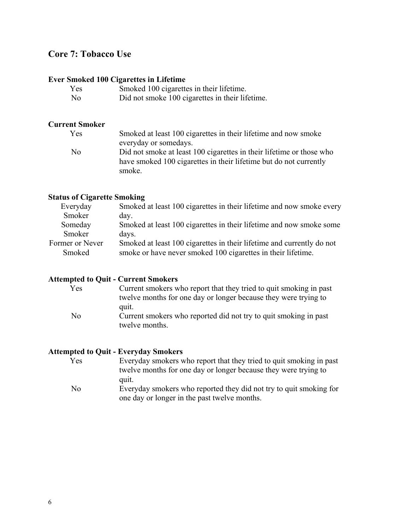# <span id="page-5-0"></span>**Core 7: Tobacco Use**

# **Ever Smoked 100 Cigarettes in Lifetime**

| Yes            | Smoked 100 cigarettes in their lifetime.        |
|----------------|-------------------------------------------------|
| N <sub>0</sub> | Did not smoke 100 cigarettes in their lifetime. |

# **Current Smoker**

| Yes | Smoked at least 100 cigarettes in their lifetime and now smoke                                                                                      |
|-----|-----------------------------------------------------------------------------------------------------------------------------------------------------|
|     | everyday or somedays.                                                                                                                               |
| No  | Did not smoke at least 100 cigarettes in their lifetime or those who<br>have smoked 100 cigarettes in their lifetime but do not currently<br>smoke. |

# **Status of Cigarette Smoking**

| Everyday        | Smoked at least 100 cigarettes in their lifetime and now smoke every  |
|-----------------|-----------------------------------------------------------------------|
| Smoker          | day.                                                                  |
| Someday         | Smoked at least 100 cigarettes in their lifetime and now smoke some   |
| Smoker          | days.                                                                 |
| Former or Never | Smoked at least 100 cigarettes in their lifetime and currently do not |
| Smoked          | smoke or have never smoked 100 cigarettes in their lifetime.          |
|                 |                                                                       |

# **Attempted to Quit - Current Smokers**

| Yes | Current smokers who report that they tried to quit smoking in past |
|-----|--------------------------------------------------------------------|
|     | twelve months for one day or longer because they were trying to    |
|     | quit.                                                              |
| No  | Current smokers who reported did not try to quit smoking in past   |
|     | twelve months.                                                     |

# **Attempted to Quit - Everyday Smokers**

| Yes | Everyday smokers who report that they tried to quit smoking in past |
|-----|---------------------------------------------------------------------|
|     | twelve months for one day or longer because they were trying to     |
|     | quit.                                                               |
| No  | Everyday smokers who reported they did not try to quit smoking for  |
|     | one day or longer in the past twelve months.                        |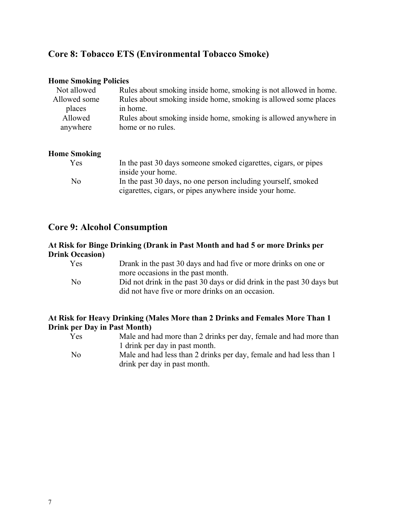# <span id="page-6-0"></span>**Core 8: Tobacco ETS (Environmental Tobacco Smoke)**

#### **Home Smoking Policies**

| Not allowed  | Rules about smoking inside home, smoking is not allowed in home. |
|--------------|------------------------------------------------------------------|
| Allowed some | Rules about smoking inside home, smoking is allowed some places  |
| places       | in home.                                                         |
| Allowed      | Rules about smoking inside home, smoking is allowed anywhere in  |
| anywhere     | home or no rules.                                                |
|              |                                                                  |

### **Home Smoking**

| Yes | In the past 30 days someone smoked cigarettes, cigars, or pipes |
|-----|-----------------------------------------------------------------|
|     | inside your home.                                               |
| No  | In the past 30 days, no one person including yourself, smoked   |
|     | cigarettes, cigars, or pipes anywhere inside your home.         |

# **Core 9: Alcohol Consumption**

### **At Risk for Binge Drinking (Drank in Past Month and had 5 or more Drinks per Drink Occasion)**

| Yes            | Drank in the past 30 days and had five or more drinks on one or        |
|----------------|------------------------------------------------------------------------|
|                | more occasions in the past month.                                      |
| N <sub>0</sub> | Did not drink in the past 30 days or did drink in the past 30 days but |
|                | did not have five or more drinks on an occasion.                       |

### **At Risk for Heavy Drinking (Males More than 2 Drinks and Females More Than 1 Drink per Day in Past Month)**

| Yes  | Male and had more than 2 drinks per day, female and had more than   |
|------|---------------------------------------------------------------------|
|      | 1 drink per day in past month.                                      |
| - No | Male and had less than 2 drinks per day, female and had less than 1 |
|      | drink per day in past month.                                        |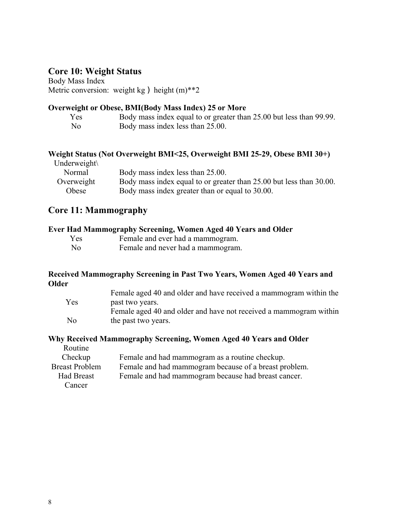# <span id="page-7-0"></span>**Core 10: Weight Status**

Body Mass Index Metric conversion: weight kg ) height  $(m)$ <sup>\*\*</sup>2

# **Overweight or Obese, BMI(Body Mass Index) 25 or More**

| Yes            | Body mass index equal to or greater than 25.00 but less than 99.99. |
|----------------|---------------------------------------------------------------------|
| N <sub>0</sub> | Body mass index less than 25.00.                                    |

# **Weight Status (Not Overweight BMI<25, Overweight BMI 25-29, Obese BMI 30+)**

| Underweight $\setminus$ |                                                                     |
|-------------------------|---------------------------------------------------------------------|
| Normal                  | Body mass index less than 25.00.                                    |
| Overweight              | Body mass index equal to or greater than 25.00 but less than 30.00. |
| Obese                   | Body mass index greater than or equal to 30.00.                     |

# **Core 11: Mammography**

|  | Ever Had Mammography Screening, Women Aged 40 Years and Older                                                                                                                                                                                                                                                                                                                                                                                                                              |  |  |  |
|--|--------------------------------------------------------------------------------------------------------------------------------------------------------------------------------------------------------------------------------------------------------------------------------------------------------------------------------------------------------------------------------------------------------------------------------------------------------------------------------------------|--|--|--|
|  | $\blacksquare$ $\blacksquare$ $\blacksquare$ $\blacksquare$ $\blacksquare$ $\blacksquare$ $\blacksquare$ $\blacksquare$ $\blacksquare$ $\blacksquare$ $\blacksquare$ $\blacksquare$ $\blacksquare$ $\blacksquare$ $\blacksquare$ $\blacksquare$ $\blacksquare$ $\blacksquare$ $\blacksquare$ $\blacksquare$ $\blacksquare$ $\blacksquare$ $\blacksquare$ $\blacksquare$ $\blacksquare$ $\blacksquare$ $\blacksquare$ $\blacksquare$ $\blacksquare$ $\blacksquare$ $\blacksquare$ $\blacks$ |  |  |  |

| Yes            | Female and ever had a mammogram.  |
|----------------|-----------------------------------|
| N <sub>0</sub> | Female and never had a mammogram. |

### **Received Mammography Screening in Past Two Years, Women Aged 40 Years and Older**

|                | Female aged 40 and older and have received a mammogram within the |
|----------------|-------------------------------------------------------------------|
| Yes            | past two years.                                                   |
|                | Female aged 40 and older and have not received a mammogram within |
| N <sub>0</sub> | the past two years.                                               |

# **Why Received Mammography Screening, Women Aged 40 Years and Older**

| Routine               |                                                       |
|-----------------------|-------------------------------------------------------|
| Checkup               | Female and had mammogram as a routine checkup.        |
| <b>Breast Problem</b> | Female and had mammogram because of a breast problem. |
| <b>Had Breast</b>     | Female and had mammogram because had breast cancer.   |
| Cancer                |                                                       |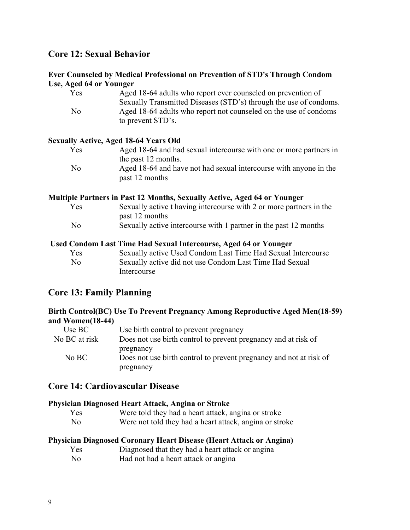# <span id="page-8-0"></span>**Core 12: Sexual Behavior**

#### **Ever Counseled by Medical Professional on Prevention of STD's Through Condom Use, Aged 64 or Younger**

| Yes            | Aged 18-64 adults who report ever counseled on prevention of      |
|----------------|-------------------------------------------------------------------|
|                | Sexually Transmitted Diseases (STD's) through the use of condoms. |
| N <sub>0</sub> | Aged 18-64 adults who report not counseled on the use of condoms  |
|                | to prevent STD's.                                                 |

#### **Sexually Active, Aged 18-64 Years Old**

| Yes | Aged 18-64 and had sexual intercourse with one or more partners in |
|-----|--------------------------------------------------------------------|
|     | the past 12 months.                                                |
| No  | Aged 18-64 and have not had sexual intercourse with anyone in the  |
|     | past 12 months                                                     |

#### **Multiple Partners in Past 12 Months, Sexually Active, Aged 64 or Younger**

| Yes            | Sexually active t having intercourse with 2 or more partners in the |
|----------------|---------------------------------------------------------------------|
|                | past 12 months                                                      |
| N <sub>0</sub> | Sexually active intercourse with 1 partner in the past 12 months    |

#### **Used Condom Last Time Had Sexual Intercourse, Aged 64 or Younger**

| Yes            | Sexually active Used Condom Last Time Had Sexual Intercourse |
|----------------|--------------------------------------------------------------|
| N <sub>0</sub> | Sexually active did not use Condom Last Time Had Sexual      |
|                | Intercourse                                                  |

# **Core 13: Family Planning**

### **Birth Control(BC) Use To Prevent Pregnancy Among Reproductive Aged Men(18-59) and Women(18-44)**

| Use BC        | Use birth control to prevent pregnancy                             |
|---------------|--------------------------------------------------------------------|
| No BC at risk | Does not use birth control to prevent pregnancy and at risk of     |
|               | pregnancy                                                          |
| No BC         | Does not use birth control to prevent pregnancy and not at risk of |
|               | pregnancy                                                          |

# **Core 14: Cardiovascular Disease**

#### **Physician Diagnosed Heart Attack, Angina or Stroke**

| Yes | Were told they had a heart attack, angina or stroke     |
|-----|---------------------------------------------------------|
| No. | Were not told they had a heart attack, angina or stroke |

#### **Physician Diagnosed Coronary Heart Disease (Heart Attack or Angina)**

| Yes | Diagnosed that they had a heart attack or angina |  |  |
|-----|--------------------------------------------------|--|--|
|     |                                                  |  |  |

No Had not had a heart attack or angina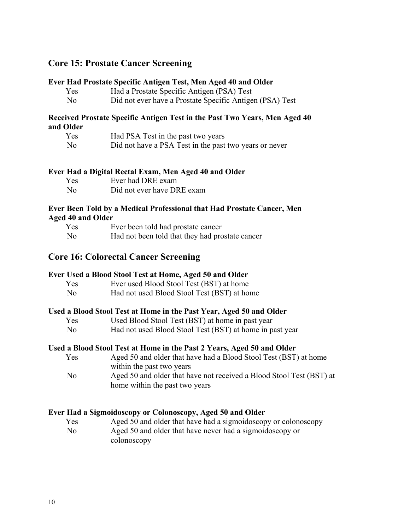# <span id="page-9-0"></span>**Core 15: Prostate Cancer Screening**

#### **Ever Had Prostate Specific Antigen Test, Men Aged 40 and Older**

| Yes            | Had a Prostate Specific Antigen (PSA) Test               |
|----------------|----------------------------------------------------------|
| N <sub>0</sub> | Did not ever have a Prostate Specific Antigen (PSA) Test |

#### **Received Prostate Specific Antigen Test in the Past Two Years, Men Aged 40 and Older**

| Yes            | Had PSA Test in the past two years                     |
|----------------|--------------------------------------------------------|
| N <sub>0</sub> | Did not have a PSA Test in the past two years or never |

#### **Ever Had a Digital Rectal Exam, Men Aged 40 and Older**

| Yes            | Ever had DRE exam          |
|----------------|----------------------------|
| N <sub>0</sub> | Did not ever have DRE exam |

#### **Ever Been Told by a Medical Professional that Had Prostate Cancer, Men Aged 40 and Older**

| Yes            | Ever been told had prostate cancer              |
|----------------|-------------------------------------------------|
| N <sub>0</sub> | Had not been told that they had prostate cancer |

### **Core 16: Colorectal Cancer Screening**

#### **Ever Used a Blood Stool Test at Home, Aged 50 and Older**

| Yes            | Ever used Blood Stool Test (BST) at home    |
|----------------|---------------------------------------------|
| N <sub>0</sub> | Had not used Blood Stool Test (BST) at home |

#### **Used a Blood Stool Test at Home in the Past Year, Aged 50 and Older**

- Yes Used Blood Stool Test (BST) at home in past year
- No Had not used Blood Stool Test (BST) at home in past year

#### **Used a Blood Stool Test at Home in the Past 2 Years, Aged 50 and Older**

| Yes | Aged 50 and older that have had a Blood Stool Test (BST) at home |
|-----|------------------------------------------------------------------|
|     | within the past two years                                        |

No Aged 50 and older that have not received a Blood Stool Test (BST) at home within the past two years

#### **Ever Had a Sigmoidoscopy or Colonoscopy, Aged 50 and Older**

Yes Aged 50 and older that have had a sigmoidoscopy or colonoscopy No Aged 50 and older that have never had a sigmoidoscopy or colonoscopy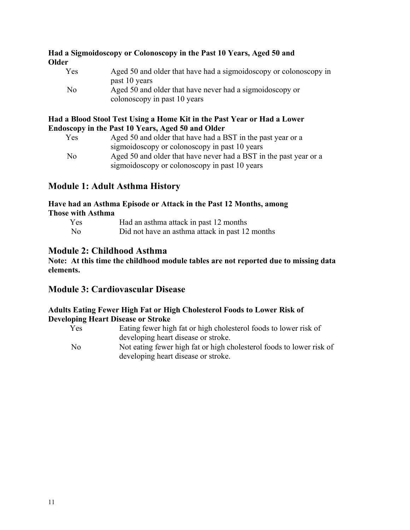### <span id="page-10-0"></span>**Had a Sigmoidoscopy or Colonoscopy in the Past 10 Years, Aged 50 and Older**

| <b>Yes</b>     | Aged 50 and older that have had a sigmoid oscopy or colonescopy in |
|----------------|--------------------------------------------------------------------|
|                | past 10 years                                                      |
| N <sub>0</sub> | Aged 50 and older that have never had a sigmoid oscopy or          |
|                | colonoscopy in past 10 years                                       |

#### **Had a Blood Stool Test Using a Home Kit in the Past Year or Had a Lower Endoscopy in the Past 10 Years, Aged 50 and Older**

| Yes | Aged 50 and older that have had a BST in the past year or a       |
|-----|-------------------------------------------------------------------|
|     | sigmoidoscopy or colonoscopy in past 10 years                     |
| No  | Aged 50 and older that have never had a BST in the past year or a |
|     | sigmoidoscopy or colonoscopy in past 10 years                     |

# **Module 1: Adult Asthma History**

#### **Have had an Asthma Episode or Attack in the Past 12 Months, among Those with Asthma**

| Yes            | Had an asthma attack in past 12 months          |
|----------------|-------------------------------------------------|
| N <sub>0</sub> | Did not have an asthma attack in past 12 months |

# **Module 2: Childhood Asthma**

**Note: At this time the childhood module tables are not reported due to missing data elements.** 

# **Module 3: Cardiovascular Disease**

### **Adults Eating Fewer High Fat or High Cholesterol Foods to Lower Risk of Developing Heart Disease or Stroke**

| Yes            | Eating fewer high fat or high cholesterol foods to lower risk of     |
|----------------|----------------------------------------------------------------------|
|                | developing heart disease or stroke.                                  |
| N <sub>0</sub> | Not eating fewer high fat or high cholesterol foods to lower risk of |
|                | developing heart disease or stroke.                                  |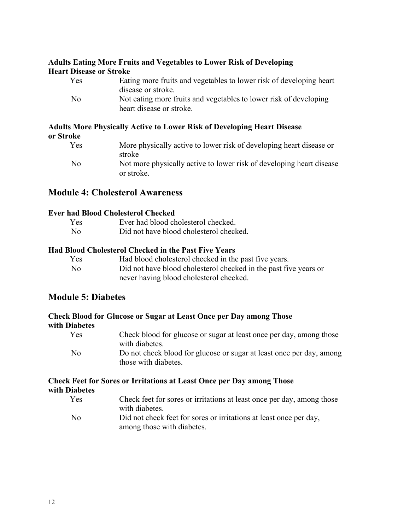### <span id="page-11-0"></span>**Adults Eating More Fruits and Vegetables to Lower Risk of Developing Heart Disease or Stroke**

| Yes | Eating more fruits and vegetables to lower risk of developing heart                           |
|-----|-----------------------------------------------------------------------------------------------|
|     | disease or stroke.                                                                            |
| No  | Not eating more fruits and vegetables to lower risk of developing<br>heart disease or stroke. |
|     |                                                                                               |

# **Adults More Physically Active to Lower Risk of Developing Heart Disease or Stroke**

| Yes            | More physically active to lower risk of developing heart disease or<br>stroke      |
|----------------|------------------------------------------------------------------------------------|
| N <sub>0</sub> | Not more physically active to lower risk of developing heart disease<br>or stroke. |

# **Module 4: Cholesterol Awareness**

### **Ever had Blood Cholesterol Checked**

| Yes            | Ever had blood cholesterol checked.     |
|----------------|-----------------------------------------|
| N <sub>0</sub> | Did not have blood cholesterol checked. |

### **Had Blood Cholesterol Checked in the Past Five Years**

| Yes            | Had blood cholesterol checked in the past five years.            |
|----------------|------------------------------------------------------------------|
| N <sub>0</sub> | Did not have blood cholesterol checked in the past five years or |
|                | never having blood cholesterol checked.                          |

# **Module 5: Diabetes**

#### **Check Blood for Glucose or Sugar at Least Once per Day among Those with Diabetes**

| Yes            | Check blood for glucose or sugar at least once per day, among those  |
|----------------|----------------------------------------------------------------------|
|                | with diabetes.                                                       |
| N <sub>0</sub> | Do not check blood for glucose or sugar at least once per day, among |
|                | those with diabetes.                                                 |

# **Check Feet for Sores or Irritations at Least Once per Day among Those with Diabetes**

| Yes | Check feet for sores or irritations at least once per day, among those |
|-----|------------------------------------------------------------------------|
|     | with diabetes.                                                         |
| No  | Did not check feet for sores or irritations at least once per day,     |
|     | among those with diabetes.                                             |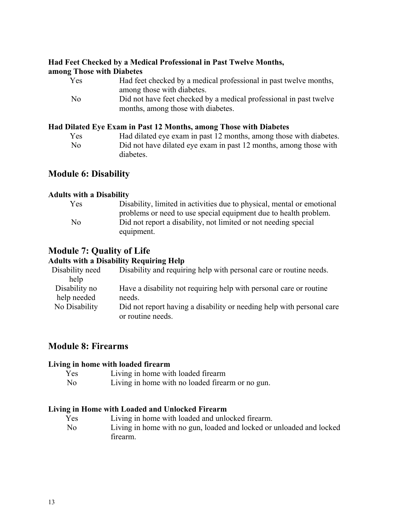# <span id="page-12-0"></span>**Had Feet Checked by a Medical Professional in Past Twelve Months,**

#### **among Those with Diabetes**

| Yes | Had feet checked by a medical professional in past twelve months,  |
|-----|--------------------------------------------------------------------|
|     | among those with diabetes.                                         |
| No  | Did not have feet checked by a medical professional in past twelve |
|     | months, among those with diabetes.                                 |

# **Had Dilated Eye Exam in Past 12 Months, among Those with Diabetes**

| Yes            | Had dilated eye exam in past 12 months, among those with diabetes. |
|----------------|--------------------------------------------------------------------|
| N <sub>0</sub> | Did not have dilated eye exam in past 12 months, among those with  |
|                | diabetes.                                                          |

# **Module 6: Disability**

### **Adults with a Disability**

| <b>Yes</b> | Disability, limited in activities due to physical, mental or emotional |
|------------|------------------------------------------------------------------------|
|            | problems or need to use special equipment due to health problem.       |
| No         | Did not report a disability, not limited or not needing special        |
|            | equipment.                                                             |

# **Module 7: Quality of Life**

### **Adults with a Disability Requiring Help**

| Disability need | Disability and requiring help with personal care or routine needs.    |
|-----------------|-----------------------------------------------------------------------|
| help            |                                                                       |
| Disability no   | Have a disability not requiring help with personal care or routine    |
| help needed     | needs.                                                                |
| No Disability   | Did not report having a disability or needing help with personal care |
|                 | or routine needs.                                                     |

# **Module 8: Firearms**

#### **Living in home with loaded firearm**

| Yes            | Living in home with loaded firearm               |
|----------------|--------------------------------------------------|
| N <sub>0</sub> | Living in home with no loaded firearm or no gun. |

### **Living in Home with Loaded and Unlocked Firearm**

- Yes Living in home with loaded and unlocked firearm.
- No Living in home with no gun, loaded and locked or unloaded and locked firearm.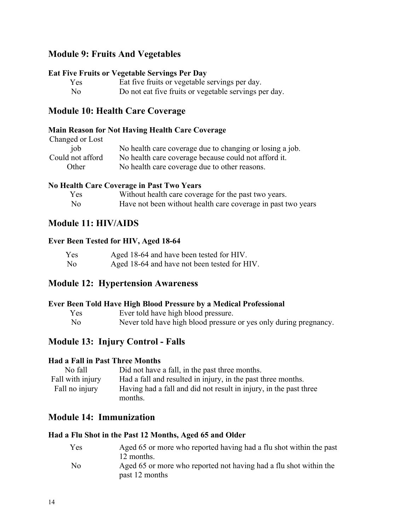# <span id="page-13-0"></span>**Module 9: Fruits And Vegetables**

#### **Eat Five Fruits or Vegetable Servings Per Day**

| Yes            | Eat five fruits or vegetable servings per day.        |
|----------------|-------------------------------------------------------|
| N <sub>0</sub> | Do not eat five fruits or vegetable servings per day. |

# **Module 10: Health Care Coverage**

#### **Main Reason for Not Having Health Care Coverage**

Changed or Lost

| iob              | No health care coverage due to changing or losing a job. |
|------------------|----------------------------------------------------------|
| Could not afford | No health care coverage because could not afford it.     |
| Other            | No health care coverage due to other reasons.            |

#### **No Health Care Coverage in Past Two Years**

| Yes            | Without health care coverage for the past two years.         |
|----------------|--------------------------------------------------------------|
| N <sub>0</sub> | Have not been without health care coverage in past two years |

### **Module 11: HIV/AIDS**

#### **Ever Been Tested for HIV, Aged 18-64**

| Yes            | Aged 18-64 and have been tested for HIV.     |
|----------------|----------------------------------------------|
| N <sub>0</sub> | Aged 18-64 and have not been tested for HIV. |

## **Module 12: Hypertension Awareness**

#### **Ever Been Told Have High Blood Pressure by a Medical Professional**

- Yes Ever told have high blood pressure.
- No Never told have high blood pressure or yes only during pregnancy.

# **Module 13: Injury Control - Falls**

#### **Had a Fall in Past Three Months**

| No fall          | Did not have a fall, in the past three months.                               |
|------------------|------------------------------------------------------------------------------|
| Fall with injury | Had a fall and resulted in injury, in the past three months.                 |
| Fall no injury   | Having had a fall and did not result in injury, in the past three<br>months. |

# **Module 14: Immunization**

#### **Had a Flu Shot in the Past 12 Months, Aged 65 and Older**

| Yes            | Aged 65 or more who reported having had a flu shot within the past |
|----------------|--------------------------------------------------------------------|
|                | 12 months.                                                         |
| N <sub>0</sub> | Aged 65 or more who reported not having had a flu shot within the  |
|                | past 12 months                                                     |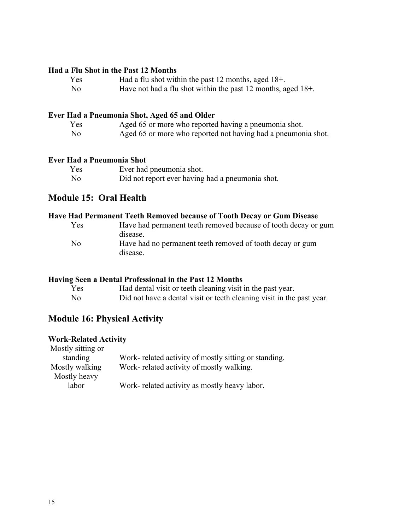#### <span id="page-14-0"></span>**Had a Flu Shot in the Past 12 Months**

- Yes Had a flu shot within the past 12 months, aged 18+.
- No Have not had a flu shot within the past 12 months, aged 18+.

# **Ever Had a Pneumonia Shot, Aged 65 and Older**

| Yes            | Aged 65 or more who reported having a pneumonia shot.         |
|----------------|---------------------------------------------------------------|
| N <sub>0</sub> | Aged 65 or more who reported not having had a pneumonia shot. |

#### **Ever Had a Pneumonia Shot**

| Yes            | Ever had pneumonia shot.                         |
|----------------|--------------------------------------------------|
| N <sub>0</sub> | Did not report ever having had a pneumonia shot. |

# **Module 15: Oral Health**

### **Have Had Permanent Teeth Removed because of Tooth Decay or Gum Disease**

| Yes            | Have had permanent teeth removed because of tooth decay or gum |
|----------------|----------------------------------------------------------------|
|                | disease.                                                       |
| N <sub>0</sub> | Have had no permanent teeth removed of tooth decay or gum      |
|                | disease.                                                       |

#### **Having Seen a Dental Professional in the Past 12 Months**

| Yes  | Had dental visit or teeth cleaning visit in the past year.            |
|------|-----------------------------------------------------------------------|
| - No | Did not have a dental visit or teeth cleaning visit in the past year. |

# **Module 16: Physical Activity**

### **Work-Related Activity**

| Mostly sitting or |                                                       |
|-------------------|-------------------------------------------------------|
| standing          | Work- related activity of mostly sitting or standing. |
| Mostly walking    | Work-related activity of mostly walking.              |
| Mostly heavy      |                                                       |
| labor             | Work-related activity as mostly heavy labor.          |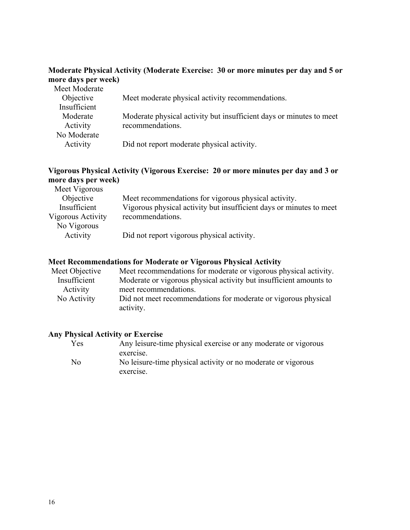### **Moderate Physical Activity (Moderate Exercise: 30 or more minutes per day and 5 or more days per week)**

| Meet Moderate |                                                                     |
|---------------|---------------------------------------------------------------------|
| Objective     | Meet moderate physical activity recommendations.                    |
| Insufficient  |                                                                     |
| Moderate      | Moderate physical activity but insufficient days or minutes to meet |
| Activity      | recommendations.                                                    |
| No Moderate   |                                                                     |
| Activity      | Did not report moderate physical activity.                          |

# **Vigorous Physical Activity (Vigorous Exercise: 20 or more minutes per day and 3 or more days per week)**

| Meet recommendations for vigorous physical activity.                |
|---------------------------------------------------------------------|
| Vigorous physical activity but insufficient days or minutes to meet |
| recommendations.                                                    |
|                                                                     |
| Did not report vigorous physical activity.                          |
|                                                                     |

### **Meet Recommendations for Moderate or Vigorous Physical Activity**

| Meet Objective | Meet recommendations for moderate or vigorous physical activity.   |
|----------------|--------------------------------------------------------------------|
| Insufficient   | Moderate or vigorous physical activity but insufficient amounts to |
| Activity       | meet recommendations.                                              |
| No Activity    | Did not meet recommendations for moderate or vigorous physical     |
|                | activity.                                                          |

### **Any Physical Activity or Exercise**

| Yes            | Any leisure-time physical exercise or any moderate or vigorous |
|----------------|----------------------------------------------------------------|
|                | exercise.                                                      |
| N <sub>0</sub> | No leisure-time physical activity or no moderate or vigorous   |
|                | exercise.                                                      |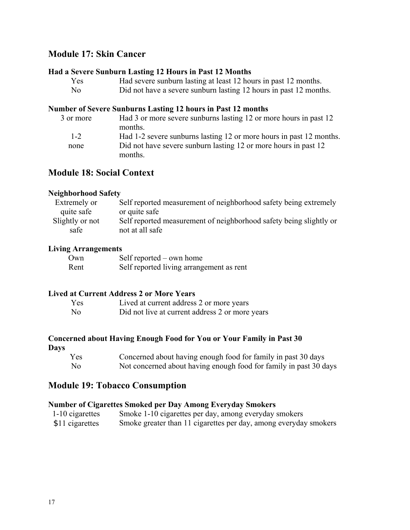# <span id="page-16-0"></span>**Module 17: Skin Cancer**

#### **Had a Severe Sunburn Lasting 12 Hours in Past 12 Months**

| Yes  | Had severe sunburn lasting at least 12 hours in past 12 months.   |
|------|-------------------------------------------------------------------|
| - No | Did not have a severe sunburn lasting 12 hours in past 12 months. |

#### **Number of Severe Sunburns Lasting 12 hours in Past 12 months**

| 3 or more | Had 3 or more severe sunburns lasting 12 or more hours in past 12   |
|-----------|---------------------------------------------------------------------|
|           | months.                                                             |
| $1 - 2$   | Had 1-2 severe sunburns lasting 12 or more hours in past 12 months. |
| none      | Did not have severe sunburn lasting 12 or more hours in past 12     |
|           | months.                                                             |

# **Module 18: Social Context**

### **Neighborhood Safety**

| Extremely or    | Self reported measurement of neighborhood safety being extremely   |
|-----------------|--------------------------------------------------------------------|
| quite safe      | or quite safe                                                      |
| Slightly or not | Self reported measurement of neighborhood safety being slightly or |
| safe            | not at all safe                                                    |

### **Living Arrangements**

| Own  | Self reported $-$ own home               |
|------|------------------------------------------|
| Rent | Self reported living arrangement as rent |

#### **Lived at Current Address 2 or More Years**

| Yes            | Lived at current address 2 or more years        |
|----------------|-------------------------------------------------|
| N <sub>0</sub> | Did not live at current address 2 or more years |

# **Concerned about Having Enough Food for You or Your Family in Past 30**

**Days** 

| Yes            | Concerned about having enough food for family in past 30 days     |
|----------------|-------------------------------------------------------------------|
| N <sub>0</sub> | Not concerned about having enough food for family in past 30 days |

# **Module 19: Tobacco Consumption**

### **Number of Cigarettes Smoked per Day Among Everyday Smokers**

| 1-10 cigarettes | Smoke 1-10 cigarettes per day, among everyday smokers            |
|-----------------|------------------------------------------------------------------|
| \$11 cigarettes | Smoke greater than 11 cigarettes per day, among everyday smokers |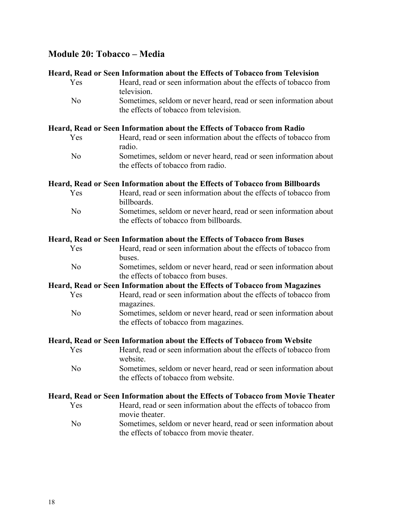# <span id="page-17-0"></span>**Module 20: Tobacco – Media**

#### **Heard, Read or Seen Information about the Effects of Tobacco from Television**

| Yes            | Heard, read or seen information about the effects of tobacco from                                                          |
|----------------|----------------------------------------------------------------------------------------------------------------------------|
| N <sub>o</sub> | television.<br>Sometimes, seldom or never heard, read or seen information about<br>the effects of tobacco from television. |
|                | Heard, Read or Seen Information about the Effects of Tobacco from Radio                                                    |
| Yes            | Heard, read or seen information about the effects of tobacco from<br>radio.                                                |
| N <sub>o</sub> | Sometimes, seldom or never heard, read or seen information about<br>the effects of tobacco from radio.                     |
|                | Heard, Read or Seen Information about the Effects of Tobacco from Billboards                                               |
| Yes            | Heard, read or seen information about the effects of tobacco from<br>billboards.                                           |
| N <sub>o</sub> | Sometimes, seldom or never heard, read or seen information about<br>the effects of tobacco from billboards.                |
|                | Heard, Read or Seen Information about the Effects of Tobacco from Buses                                                    |
| Yes            | Heard, read or seen information about the effects of tobacco from<br>buses.                                                |
| N <sub>o</sub> | Sometimes, seldom or never heard, read or seen information about<br>the effects of tobacco from buses.                     |
|                | Heard, Read or Seen Information about the Effects of Tobacco from Magazines                                                |
| Yes            | Heard, read or seen information about the effects of tobacco from<br>magazines.                                            |
| N <sub>o</sub> | Sometimes, seldom or never heard, read or seen information about<br>the effects of tobacco from magazines.                 |
|                | Heard, Read or Seen Information about the Effects of Tobacco from Website                                                  |
| Yes            | Heard, read or seen information about the effects of tobacco from<br>website.                                              |
| N <sub>o</sub> | Sometimes, seldom or never heard, read or seen information about<br>the effects of tobacco from website.                   |
|                | Heard, Read or Seen Information about the Effects of Tobacco from Movie Theater                                            |
| Yes            | Heard, read or seen information about the effects of tobacco from                                                          |

- Heard, read or seen information about the effects of tobacco from movie theater. No Sometimes, seldom or never heard, read or seen information about
	- the effects of tobacco from movie theater.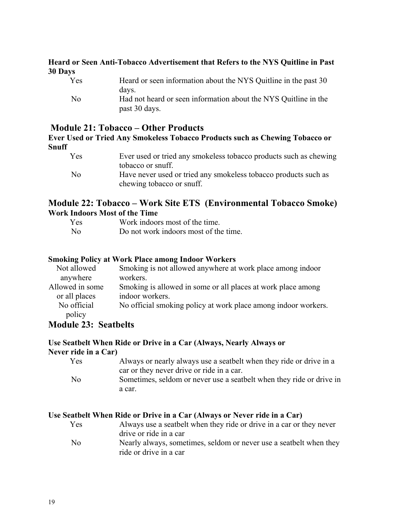### <span id="page-18-0"></span>**Heard or Seen Anti-Tobacco Advertisement that Refers to the NYS Quitline in Past 30 Days**

| Yes            | Heard or seen information about the NYS Quitline in the past 30 |
|----------------|-----------------------------------------------------------------|
|                | days.                                                           |
| N <sub>0</sub> | Had not heard or seen information about the NYS Quittine in the |
|                | past 30 days.                                                   |

# **Module 21: Tobacco – Other Products**

**Ever Used or Tried Any Smokeless Tobacco Products such as Chewing Tobacco or Snuff** 

| Yes            | Ever used or tried any smokeless tobacco products such as chewing |
|----------------|-------------------------------------------------------------------|
|                | tobacco or snuff.                                                 |
| N <sub>0</sub> | Have never used or tried any smokeless tobacco products such as   |
|                | chewing tobacco or snuff.                                         |

# **Module 22: Tobacco – Work Site ETS (Environmental Tobacco Smoke) Work Indoors Most of the Time**

| Yes            | Work indoors most of the time.        |
|----------------|---------------------------------------|
| N <sub>0</sub> | Do not work indoors most of the time. |

#### **Smoking Policy at Work Place among Indoor Workers**

| Not allowed                                                                                | Smoking is not allowed anywhere at work place among indoor     |
|--------------------------------------------------------------------------------------------|----------------------------------------------------------------|
| anywhere                                                                                   | workers.                                                       |
| Allowed in some                                                                            | Smoking is allowed in some or all places at work place among   |
| or all places                                                                              | indoor workers.                                                |
| No official                                                                                | No official smoking policy at work place among indoor workers. |
| policy                                                                                     |                                                                |
| $\mathbf{M}$ $\mathbf{I}$ $\mathbf{A}$ $\mathbf{A}$ $\mathbf{A}$ $\mathbf{I}$ $\mathbf{I}$ |                                                                |

# **Module 23: Seatbelts**

#### **Use Seatbelt When Ride or Drive in a Car (Always, Nearly Always or Never ride in a Car)**

| Yes  | Always or nearly always use a seatbelt when they ride or drive in a  |
|------|----------------------------------------------------------------------|
|      | car or they never drive or ride in a car.                            |
| - No | Sometimes, seldom or never use a seatbelt when they ride or drive in |
|      | a car.                                                               |

### **Use Seatbelt When Ride or Drive in a Car (Always or Never ride in a Car)**

ride or drive in a car

| Yes            | Always use a seatbelt when they ride or drive in a car or they never |
|----------------|----------------------------------------------------------------------|
|                | drive or ride in a car                                               |
| N <sub>0</sub> | Nearly always, sometimes, seldom or never use a seatbelt when they   |